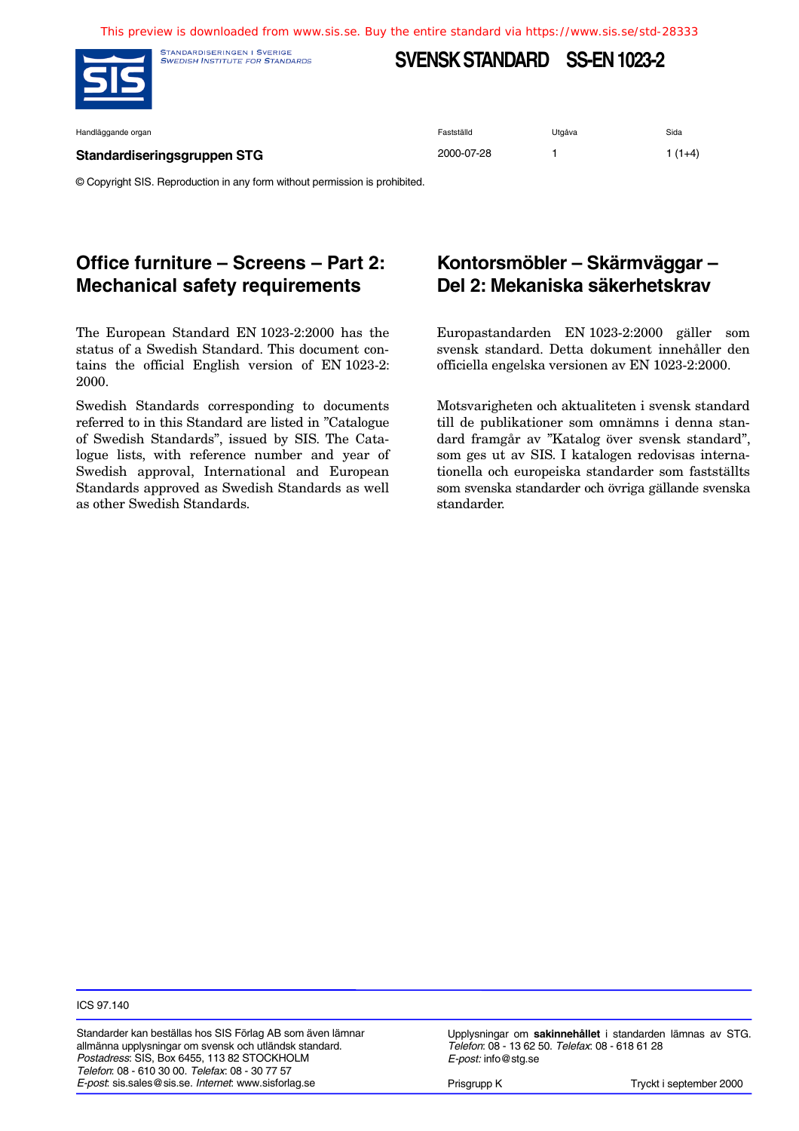

**STANDARDISERINGEN I SVERIGE**<br>SWEDISH INSTITUTE FOR STANDARDS

### **SVENSK STANDARD SS-EN 1023-2**

Handläggande organ Fastställd Utgåva Sida

#### **Standardiseringsgruppen STG** 2000-07-28 1 1 1 (1+4)

© Copyright SIS. Reproduction in any form without permission is prohibited.

#### **Office furniture – Screens – Part 2: Mechanical safety requirements**

The European Standard EN 1023-2:2000 has the status of a Swedish Standard. This document contains the official English version of EN 1023-2: 2000.

Swedish Standards corresponding to documents referred to in this Standard are listed in "Catalogue of Swedish Standards", issued by SIS. The Catalogue lists, with reference number and year of Swedish approval, International and European Standards approved as Swedish Standards as well as other Swedish Standards.

### **Kontorsmöbler – Skärmväggar – Del 2: Mekaniska säkerhetskrav**

Europastandarden EN 1023-2:2000 gäller som svensk standard. Detta dokument innehåller den officiella engelska versionen av EN 1023-2:2000.

Motsvarigheten och aktualiteten i svensk standard till de publikationer som omnämns i denna standard framgår av "Katalog över svensk standard", som ges ut av SIS. I katalogen redovisas internationella och europeiska standarder som fastställts som svenska standarder och övriga gällande svenska standarder.

ICS 97.140

Standarder kan beställas hos SIS Förlag AB som även lämnar allmänna upplysningar om svensk och utländsk standard. *Postadress*: SIS, Box 6455, 113 82 STOCKHOLM *Telefon*: 08 - 610 30 00. *Telefax*: 08 - 30 77 57 *E-post*: sis.sales@sis.se. *Internet*: www.sisforlag.se

Upplysningar om **sakinnehållet** i standarden lämnas av STG. *Telefon*: 08 - 13 62 50. *Telefax*: 08 - 618 61 28 *E-post:* info@stg.se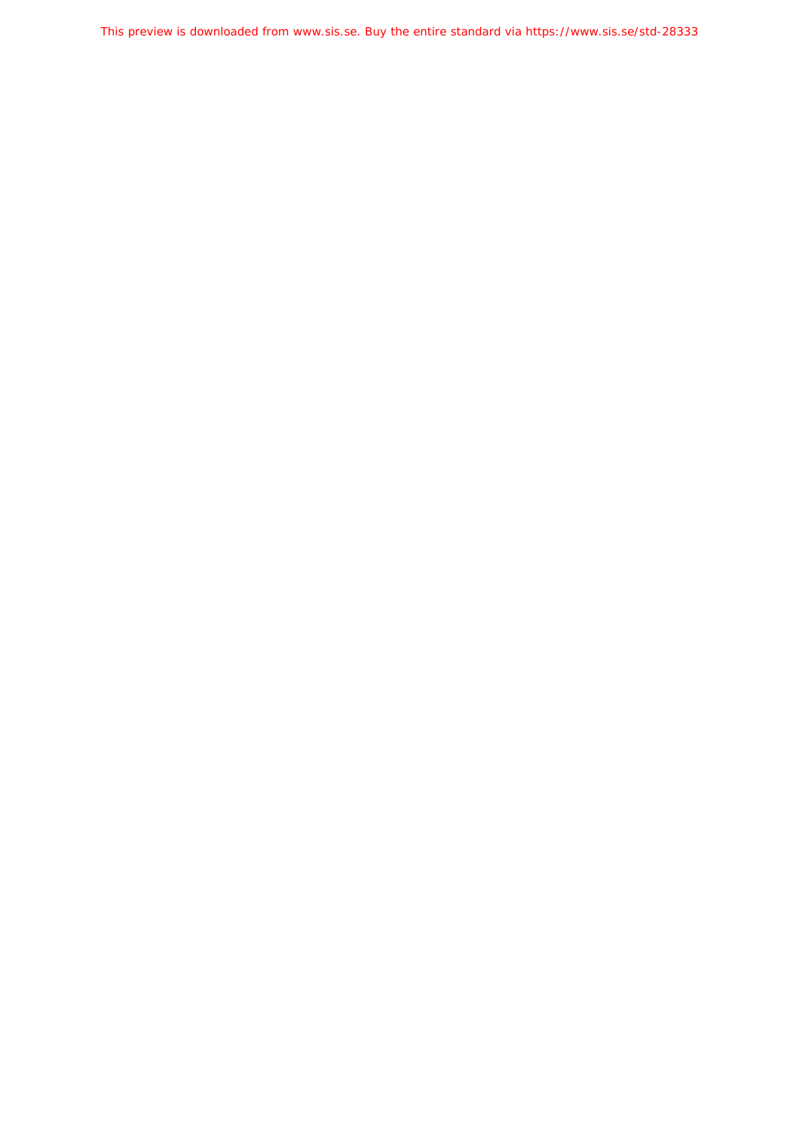This preview is downloaded from www.sis.se. Buy the entire standard via https://www.sis.se/std-28333